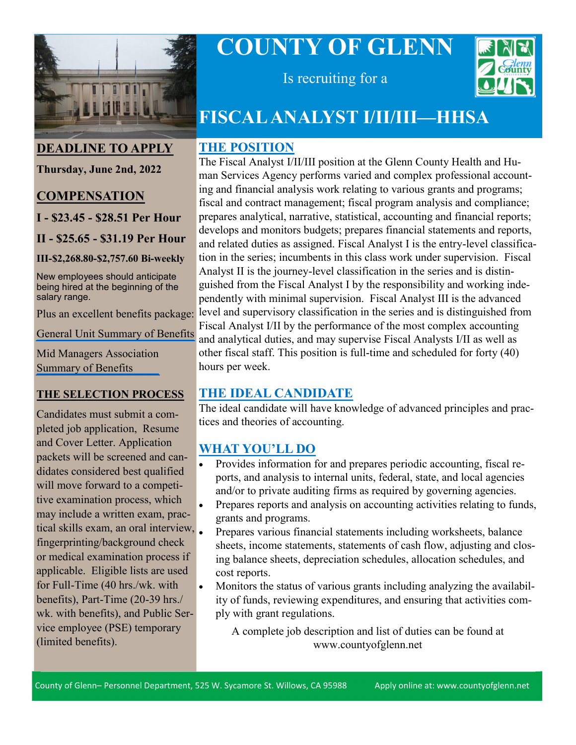

**DEADLINE TO APPLY**

**Thursday, June 2nd, 2022**

#### **COMPENSATION**

**I - \$23.45 - \$28.51 Per Hour**

**II - \$25.65 - \$31.19 Per Hour**

**III-\$2,268.80-\$2,757.60 Bi-weekly**

New employees should anticipate being hired at the beginning of the salary range.

[General Unit Summary of Benefits](https://www.countyofglenn.net/sites/default/files/Personnel/MOU/GCPERL%2014-GU%20Sum%20of%20Benefits%2020110701_0.pdf)

[Mid Managers Association](https://www.countyofglenn.net/sites/default/files/Personnel/MOU/GCPERL%2017-GCMMA%20Sum%20of%20Benefits%2020110701_0.pdf)  Summary of Benefits

#### **THE SELECTION PROCESS**

Candidates must submit a completed job application, Resume and Cover Letter. Application packets will be screened and candidates considered best qualified will move forward to a competitive examination process, which may include a written exam, practical skills exam, an oral interview, fingerprinting/background check or medical examination process if applicable. Eligible lists are used for Full-Time (40 hrs./wk. with benefits), Part-Time (20-39 hrs./ wk. with benefits), and Public Service employee (PSE) temporary (limited benefits).

# **COUNTY OF GLENN**



Is recruiting for a

# **FISCAL ANALYST I/II/III—HHSA**

#### **THE POSITION**

Plus an excellent benefits package: level and supervisory classification in the series and is distinguished from The Fiscal Analyst I/II/III position at the Glenn County Health and Human Services Agency performs varied and complex professional accounting and financial analysis work relating to various grants and programs; fiscal and contract management; fiscal program analysis and compliance; prepares analytical, narrative, statistical, accounting and financial reports; develops and monitors budgets; prepares financial statements and reports, and related duties as assigned. Fiscal Analyst I is the entry-level classification in the series; incumbents in this class work under supervision. Fiscal Analyst II is the journey-level classification in the series and is distinguished from the Fiscal Analyst I by the responsibility and working independently with minimal supervision. Fiscal Analyst III is the advanced Fiscal Analyst I/II by the performance of the most complex accounting and analytical duties, and may supervise Fiscal Analysts I/II as well as other fiscal staff. This position is full-time and scheduled for forty (40) hours per week.

## **THE IDEAL CANDIDATE**

The ideal candidate will have knowledge of advanced principles and practices and theories of accounting.

#### **WHAT YOU'LL DO**

- Provides information for and prepares periodic accounting, fiscal reports, and analysis to internal units, federal, state, and local agencies and/or to private auditing firms as required by governing agencies.
- Prepares reports and analysis on accounting activities relating to funds, grants and programs.
- Prepares various financial statements including worksheets, balance sheets, income statements, statements of cash flow, adjusting and closing balance sheets, depreciation schedules, allocation schedules, and cost reports.
- Monitors the status of various grants including analyzing the availability of funds, reviewing expenditures, and ensuring that activities comply with grant regulations.

A complete job description and list of duties can be found at www.countyofglenn.net